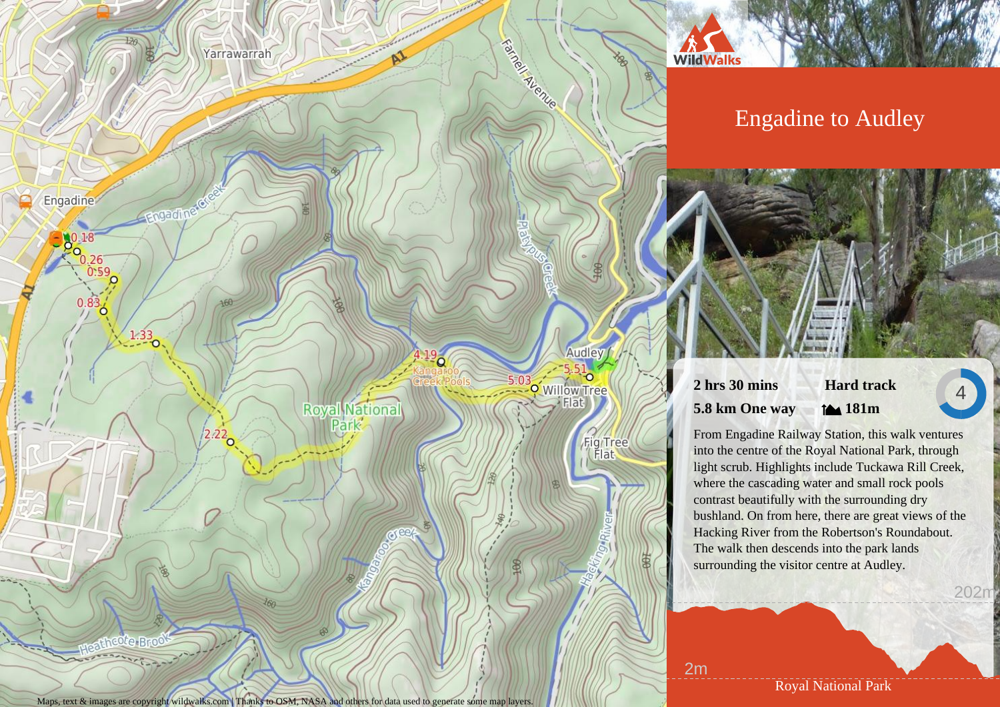# Yarrawarrah

Engadinergreek

 $\frac{2.22}{9}$ 

Engadine

 $0.26 - 0.59$ 

 $1.33$ 

upathcote Bro

 $0.83$ 

# Engadine to Audley



# **2 hrs 30 mins 5.8 km One way Hard track**

**181m**

4

202m

From Engadine Railway Station, this walk ventures into the centre of the Royal National Park, through light scrub. Highlights include Tuckawa Rill Creek, where the cascading water and small rock pools contrast beautifully with the surrounding dry bushland. On from here, there are great views of the Hacking River from the Robertson's Roundabout. The walk then descends into the park lands surrounding the visitor centre at Audley.

Maps, text & images are copyright wildwalks.com | Thanks to OSM, NASA and others for data used to generate some map layers.

**Royal National** Park

Royal National Park

2m

**WildWalks** 

**Raindorf Avenue** 

 $5.03$ 

Audley

Fig Tree

o Willow Tree Elat